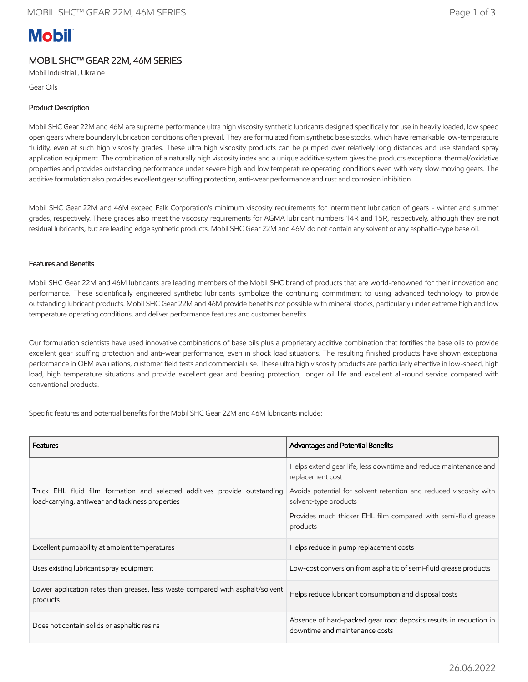# **Mobil**

## MOBIL SHC™ GEAR 22M, 46M SERIES

Mobil Industrial , Ukraine

Gear Oils

## Product Description

Mobil SHC Gear 22M and 46M are supreme performance ultra high viscosity synthetic lubricants designed specifically for use in heavily loaded, low speed open gears where boundary lubrication conditions often prevail. They are formulated from synthetic base stocks, which have remarkable low-temperature fluidity, even at such high viscosity grades. These ultra high viscosity products can be pumped over relatively long distances and use standard spray application equipment. The combination of a naturally high viscosity index and a unique additive system gives the products exceptional thermal/oxidative properties and provides outstanding performance under severe high and low temperature operating conditions even with very slow moving gears. The additive formulation also provides excellent gear scuffing protection, anti-wear performance and rust and corrosion inhibition.

Mobil SHC Gear 22M and 46M exceed Falk Corporation's minimum viscosity requirements for intermittent lubrication of gears - winter and summer grades, respectively. These grades also meet the viscosity requirements for AGMA lubricant numbers 14R and 15R, respectively, although they are not residual lubricants, but are leading edge synthetic products. Mobil SHC Gear 22M and 46M do not contain any solvent or any asphaltic-type base oil.

## Features and Benefits

Mobil SHC Gear 22M and 46M lubricants are leading members of the Mobil SHC brand of products that are world-renowned for their innovation and performance. These scientifically engineered synthetic lubricants symbolize the continuing commitment to using advanced technology to provide outstanding lubricant products. Mobil SHC Gear 22M and 46M provide benefits not possible with mineral stocks, particularly under extreme high and low temperature operating conditions, and deliver performance features and customer benefits.

Our formulation scientists have used innovative combinations of base oils plus a proprietary additive combination that fortifies the base oils to provide excellent gear scuffing protection and anti-wear performance, even in shock load situations. The resulting finished products have shown exceptional performance in OEM evaluations, customer field tests and commercial use. These ultra high viscosity products are particularly effective in low-speed, high load, high temperature situations and provide excellent gear and bearing protection, longer oil life and excellent all-round service compared with conventional products.

Specific features and potential benefits for the Mobil SHC Gear 22M and 46M lubricants include:

| <b>Features</b>                                                                                                               | Advantages and Potential Benefits                                                                   |  |
|-------------------------------------------------------------------------------------------------------------------------------|-----------------------------------------------------------------------------------------------------|--|
| Thick EHL fluid film formation and selected additives provide outstanding<br>load-carrying, antiwear and tackiness properties | Helps extend gear life, less downtime and reduce maintenance and<br>replacement cost                |  |
|                                                                                                                               | Avoids potential for solvent retention and reduced viscosity with<br>solvent-type products          |  |
|                                                                                                                               | Provides much thicker EHL film compared with semi-fluid grease<br>products                          |  |
| Excellent pumpability at ambient temperatures                                                                                 | Helps reduce in pump replacement costs                                                              |  |
| Uses existing lubricant spray equipment                                                                                       | Low-cost conversion from asphaltic of semi-fluid grease products                                    |  |
| Lower application rates than greases, less waste compared with asphalt/solvent<br>products                                    | Helps reduce lubricant consumption and disposal costs                                               |  |
| Does not contain solids or asphaltic resins                                                                                   | Absence of hard-packed gear root deposits results in reduction in<br>downtime and maintenance costs |  |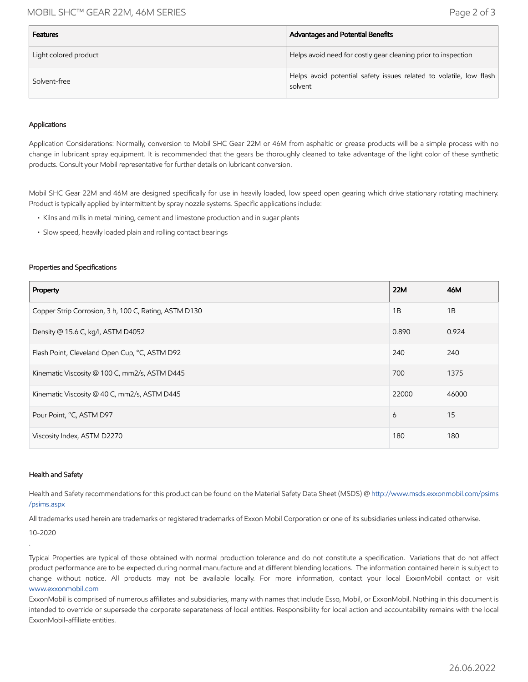## MOBIL SHC™ GEAR 22M, 46M SERIES Page 2 of 3

| <b>Features</b>       | Advantages and Potential Benefits                                             |
|-----------------------|-------------------------------------------------------------------------------|
| Light colored product | Helps avoid need for costly gear cleaning prior to inspection                 |
| Solvent-free          | Helps avoid potential safety issues related to volatile, low flash<br>solvent |

#### Applications

Application Considerations: Normally, conversion to Mobil SHC Gear 22M or 46M from asphaltic or grease products will be a simple process with no change in lubricant spray equipment. It is recommended that the gears be thoroughly cleaned to take advantage of the light color of these synthetic products. Consult your Mobil representative for further details on lubricant conversion.

Mobil SHC Gear 22M and 46M are designed specifically for use in heavily loaded, low speed open gearing which drive stationary rotating machinery. Product is typically applied by intermittent by spray nozzle systems. Specific applications include:

- Kilns and mills in metal mining, cement and limestone production and in sugar plants
- Slow speed, heavily loaded plain and rolling contact bearings

#### Properties and Specifications

| Property                                              | <b>22M</b> | 46M   |
|-------------------------------------------------------|------------|-------|
| Copper Strip Corrosion, 3 h, 100 C, Rating, ASTM D130 | 1B         | 1B    |
| Density @ 15.6 C, kg/l, ASTM D4052                    | 0.890      | 0.924 |
| Flash Point, Cleveland Open Cup, °C, ASTM D92         | 240        | 240   |
| Kinematic Viscosity @ 100 C, mm2/s, ASTM D445         | 700        | 1375  |
| Kinematic Viscosity @ 40 C, mm2/s, ASTM D445          | 22000      | 46000 |
| Pour Point, °C, ASTM D97                              | 6          | 15    |
| Viscosity Index, ASTM D2270                           | 180        | 180   |

#### Health and Safety

Health and Safety recommendations for this product can be found on the Material Safety Data Sheet (MSDS) @ [http://www.msds.exxonmobil.com/psims](http://www.msds.exxonmobil.com/psims/psims.aspx) /psims.aspx

All trademarks used herein are trademarks or registered trademarks of Exxon Mobil Corporation or one of its subsidiaries unless indicated otherwise.

10-2020

.

Typical Properties are typical of those obtained with normal production tolerance and do not constitute a specification. Variations that do not affect product performance are to be expected during normal manufacture and at different blending locations. The information contained herein is subject to change without notice. All products may not be available locally. For more information, contact your local ExxonMobil contact or visit [www.exxonmobil.com](http://www.exxonmobil.com/)

ExxonMobil is comprised of numerous affiliates and subsidiaries, many with names that include Esso, Mobil, or ExxonMobil. Nothing in this document is intended to override or supersede the corporate separateness of local entities. Responsibility for local action and accountability remains with the local ExxonMobil-affiliate entities.